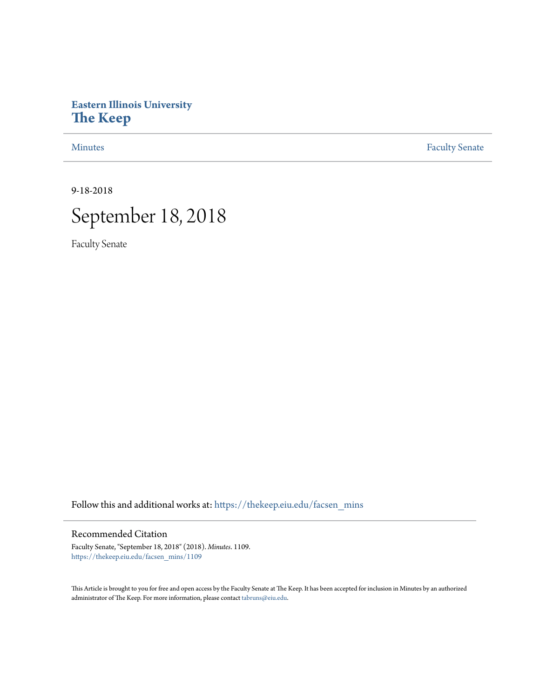# **Eastern Illinois University [The Keep](https://thekeep.eiu.edu?utm_source=thekeep.eiu.edu%2Ffacsen_mins%2F1109&utm_medium=PDF&utm_campaign=PDFCoverPages)**

[Minutes](https://thekeep.eiu.edu/facsen_mins?utm_source=thekeep.eiu.edu%2Ffacsen_mins%2F1109&utm_medium=PDF&utm_campaign=PDFCoverPages) **[Faculty Senate](https://thekeep.eiu.edu/fac_senate?utm_source=thekeep.eiu.edu%2Ffacsen_mins%2F1109&utm_medium=PDF&utm_campaign=PDFCoverPages)** 

9-18-2018



Faculty Senate

Follow this and additional works at: [https://thekeep.eiu.edu/facsen\\_mins](https://thekeep.eiu.edu/facsen_mins?utm_source=thekeep.eiu.edu%2Ffacsen_mins%2F1109&utm_medium=PDF&utm_campaign=PDFCoverPages)

#### Recommended Citation

Faculty Senate, "September 18, 2018" (2018). *Minutes*. 1109. [https://thekeep.eiu.edu/facsen\\_mins/1109](https://thekeep.eiu.edu/facsen_mins/1109?utm_source=thekeep.eiu.edu%2Ffacsen_mins%2F1109&utm_medium=PDF&utm_campaign=PDFCoverPages)

This Article is brought to you for free and open access by the Faculty Senate at The Keep. It has been accepted for inclusion in Minutes by an authorized administrator of The Keep. For more information, please contact [tabruns@eiu.edu.](mailto:tabruns@eiu.edu)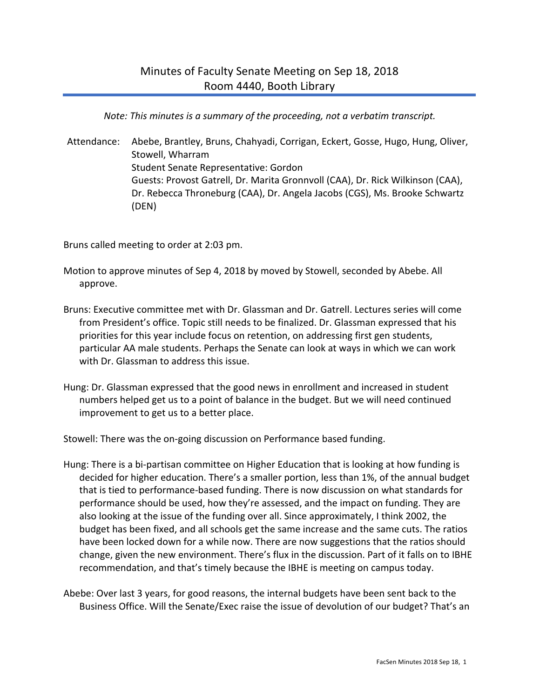*Note: This minutes is a summary of the proceeding, not a verbatim transcript.*

Attendance: Abebe, Brantley, Bruns, Chahyadi, Corrigan, Eckert, Gosse, Hugo, Hung, Oliver, Stowell, Wharram Student Senate Representative: Gordon Guests: Provost Gatrell, Dr. Marita Gronnvoll (CAA), Dr. Rick Wilkinson (CAA), Dr. Rebecca Throneburg (CAA), Dr. Angela Jacobs (CGS), Ms. Brooke Schwartz (DEN)

Bruns called meeting to order at 2:03 pm.

- Motion to approve minutes of Sep 4, 2018 by moved by Stowell, seconded by Abebe. All approve.
- Bruns: Executive committee met with Dr. Glassman and Dr. Gatrell. Lectures series will come from President's office. Topic still needs to be finalized. Dr. Glassman expressed that his priorities for this year include focus on retention, on addressing first gen students, particular AA male students. Perhaps the Senate can look at ways in which we can work with Dr. Glassman to address this issue.
- Hung: Dr. Glassman expressed that the good news in enrollment and increased in student numbers helped get us to a point of balance in the budget. But we will need continued improvement to get us to a better place.

Stowell: There was the on-going discussion on Performance based funding.

- Hung: There is a bi-partisan committee on Higher Education that is looking at how funding is decided for higher education. There's a smaller portion, less than 1%, of the annual budget that is tied to performance-based funding. There is now discussion on what standards for performance should be used, how they're assessed, and the impact on funding. They are also looking at the issue of the funding over all. Since approximately, I think 2002, the budget has been fixed, and all schools get the same increase and the same cuts. The ratios have been locked down for a while now. There are now suggestions that the ratios should change, given the new environment. There's flux in the discussion. Part of it falls on to IBHE recommendation, and that's timely because the IBHE is meeting on campus today.
- Abebe: Over last 3 years, for good reasons, the internal budgets have been sent back to the Business Office. Will the Senate/Exec raise the issue of devolution of our budget? That's an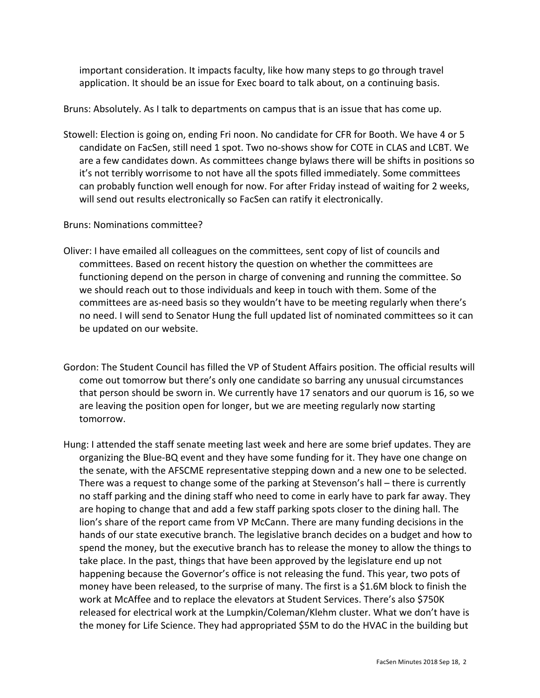important consideration. It impacts faculty, like how many steps to go through travel application. It should be an issue for Exec board to talk about, on a continuing basis.

Bruns: Absolutely. As I talk to departments on campus that is an issue that has come up.

Stowell: Election is going on, ending Fri noon. No candidate for CFR for Booth. We have 4 or 5 candidate on FacSen, still need 1 spot. Two no-shows show for COTE in CLAS and LCBT. We are a few candidates down. As committees change bylaws there will be shifts in positions so it's not terribly worrisome to not have all the spots filled immediately. Some committees can probably function well enough for now. For after Friday instead of waiting for 2 weeks, will send out results electronically so FacSen can ratify it electronically.

### Bruns: Nominations committee?

- Oliver: I have emailed all colleagues on the committees, sent copy of list of councils and committees. Based on recent history the question on whether the committees are functioning depend on the person in charge of convening and running the committee. So we should reach out to those individuals and keep in touch with them. Some of the committees are as-need basis so they wouldn't have to be meeting regularly when there's no need. I will send to Senator Hung the full updated list of nominated committees so it can be updated on our website.
- Gordon: The Student Council has filled the VP of Student Affairs position. The official results will come out tomorrow but there's only one candidate so barring any unusual circumstances that person should be sworn in. We currently have 17 senators and our quorum is 16, so we are leaving the position open for longer, but we are meeting regularly now starting tomorrow.
- Hung: I attended the staff senate meeting last week and here are some brief updates. They are organizing the Blue-BQ event and they have some funding for it. They have one change on the senate, with the AFSCME representative stepping down and a new one to be selected. There was a request to change some of the parking at Stevenson's hall – there is currently no staff parking and the dining staff who need to come in early have to park far away. They are hoping to change that and add a few staff parking spots closer to the dining hall. The lion's share of the report came from VP McCann. There are many funding decisions in the hands of our state executive branch. The legislative branch decides on a budget and how to spend the money, but the executive branch has to release the money to allow the things to take place. In the past, things that have been approved by the legislature end up not happening because the Governor's office is not releasing the fund. This year, two pots of money have been released, to the surprise of many. The first is a \$1.6M block to finish the work at McAffee and to replace the elevators at Student Services. There's also \$750K released for electrical work at the Lumpkin/Coleman/Klehm cluster. What we don't have is the money for Life Science. They had appropriated \$5M to do the HVAC in the building but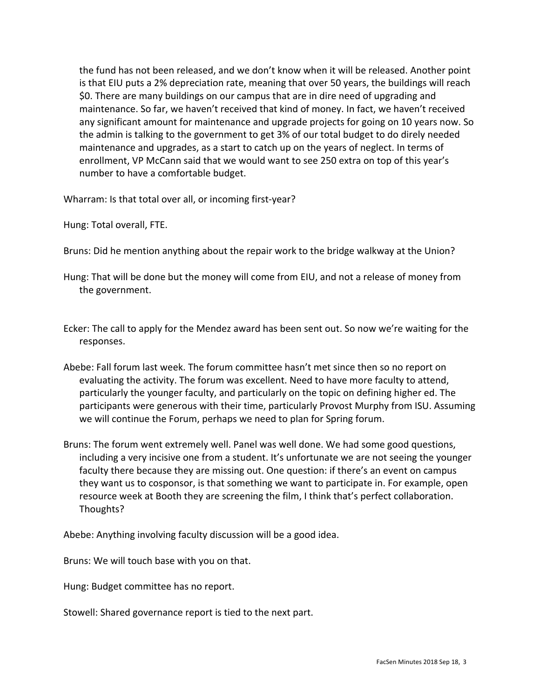the fund has not been released, and we don't know when it will be released. Another point is that EIU puts a 2% depreciation rate, meaning that over 50 years, the buildings will reach \$0. There are many buildings on our campus that are in dire need of upgrading and maintenance. So far, we haven't received that kind of money. In fact, we haven't received any significant amount for maintenance and upgrade projects for going on 10 years now. So the admin is talking to the government to get 3% of our total budget to do direly needed maintenance and upgrades, as a start to catch up on the years of neglect. In terms of enrollment, VP McCann said that we would want to see 250 extra on top of this year's number to have a comfortable budget.

Wharram: Is that total over all, or incoming first-year?

Hung: Total overall, FTE.

- Bruns: Did he mention anything about the repair work to the bridge walkway at the Union?
- Hung: That will be done but the money will come from EIU, and not a release of money from the government.
- Ecker: The call to apply for the Mendez award has been sent out. So now we're waiting for the responses.
- Abebe: Fall forum last week. The forum committee hasn't met since then so no report on evaluating the activity. The forum was excellent. Need to have more faculty to attend, particularly the younger faculty, and particularly on the topic on defining higher ed. The participants were generous with their time, particularly Provost Murphy from ISU. Assuming we will continue the Forum, perhaps we need to plan for Spring forum.
- Bruns: The forum went extremely well. Panel was well done. We had some good questions, including a very incisive one from a student. It's unfortunate we are not seeing the younger faculty there because they are missing out. One question: if there's an event on campus they want us to cosponsor, is that something we want to participate in. For example, open resource week at Booth they are screening the film, I think that's perfect collaboration. Thoughts?

Abebe: Anything involving faculty discussion will be a good idea.

Bruns: We will touch base with you on that.

Hung: Budget committee has no report.

Stowell: Shared governance report is tied to the next part.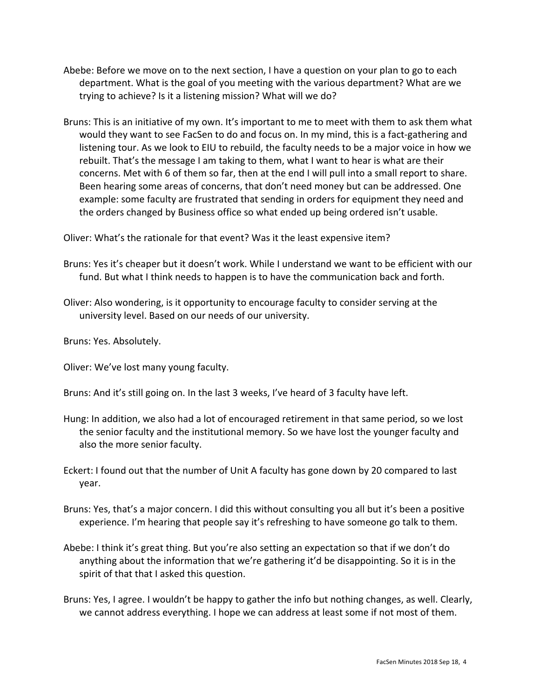- Abebe: Before we move on to the next section, I have a question on your plan to go to each department. What is the goal of you meeting with the various department? What are we trying to achieve? Is it a listening mission? What will we do?
- Bruns: This is an initiative of my own. It's important to me to meet with them to ask them what would they want to see FacSen to do and focus on. In my mind, this is a fact-gathering and listening tour. As we look to EIU to rebuild, the faculty needs to be a major voice in how we rebuilt. That's the message I am taking to them, what I want to hear is what are their concerns. Met with 6 of them so far, then at the end I will pull into a small report to share. Been hearing some areas of concerns, that don't need money but can be addressed. One example: some faculty are frustrated that sending in orders for equipment they need and the orders changed by Business office so what ended up being ordered isn't usable.

Oliver: What's the rationale for that event? Was it the least expensive item?

- Bruns: Yes it's cheaper but it doesn't work. While I understand we want to be efficient with our fund. But what I think needs to happen is to have the communication back and forth.
- Oliver: Also wondering, is it opportunity to encourage faculty to consider serving at the university level. Based on our needs of our university.

Bruns: Yes. Absolutely.

Oliver: We've lost many young faculty.

Bruns: And it's still going on. In the last 3 weeks, I've heard of 3 faculty have left.

- Hung: In addition, we also had a lot of encouraged retirement in that same period, so we lost the senior faculty and the institutional memory. So we have lost the younger faculty and also the more senior faculty.
- Eckert: I found out that the number of Unit A faculty has gone down by 20 compared to last year.
- Bruns: Yes, that's a major concern. I did this without consulting you all but it's been a positive experience. I'm hearing that people say it's refreshing to have someone go talk to them.
- Abebe: I think it's great thing. But you're also setting an expectation so that if we don't do anything about the information that we're gathering it'd be disappointing. So it is in the spirit of that that I asked this question.
- Bruns: Yes, I agree. I wouldn't be happy to gather the info but nothing changes, as well. Clearly, we cannot address everything. I hope we can address at least some if not most of them.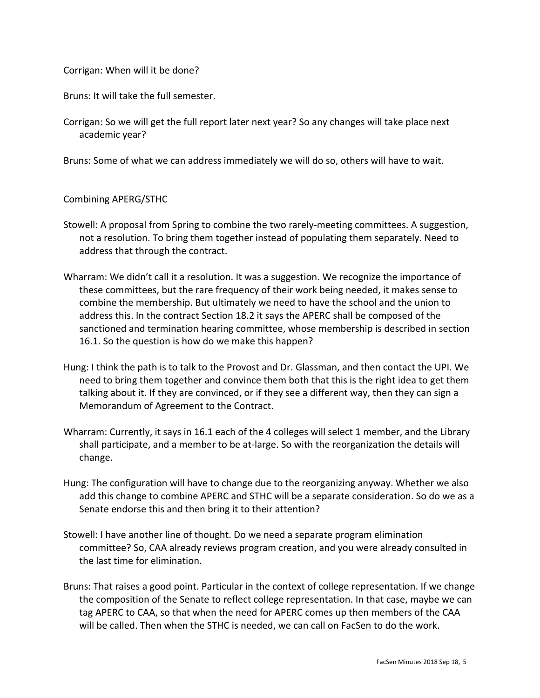# Corrigan: When will it be done?

Bruns: It will take the full semester.

Corrigan: So we will get the full report later next year? So any changes will take place next academic year?

Bruns: Some of what we can address immediately we will do so, others will have to wait.

### Combining APERG/STHC

- Stowell: A proposal from Spring to combine the two rarely-meeting committees. A suggestion, not a resolution. To bring them together instead of populating them separately. Need to address that through the contract.
- Wharram: We didn't call it a resolution. It was a suggestion. We recognize the importance of these committees, but the rare frequency of their work being needed, it makes sense to combine the membership. But ultimately we need to have the school and the union to address this. In the contract Section 18.2 it says the APERC shall be composed of the sanctioned and termination hearing committee, whose membership is described in section 16.1. So the question is how do we make this happen?
- Hung: I think the path is to talk to the Provost and Dr. Glassman, and then contact the UPI. We need to bring them together and convince them both that this is the right idea to get them talking about it. If they are convinced, or if they see a different way, then they can sign a Memorandum of Agreement to the Contract.
- Wharram: Currently, it says in 16.1 each of the 4 colleges will select 1 member, and the Library shall participate, and a member to be at-large. So with the reorganization the details will change.
- Hung: The configuration will have to change due to the reorganizing anyway. Whether we also add this change to combine APERC and STHC will be a separate consideration. So do we as a Senate endorse this and then bring it to their attention?
- Stowell: I have another line of thought. Do we need a separate program elimination committee? So, CAA already reviews program creation, and you were already consulted in the last time for elimination.
- Bruns: That raises a good point. Particular in the context of college representation. If we change the composition of the Senate to reflect college representation. In that case, maybe we can tag APERC to CAA, so that when the need for APERC comes up then members of the CAA will be called. Then when the STHC is needed, we can call on FacSen to do the work.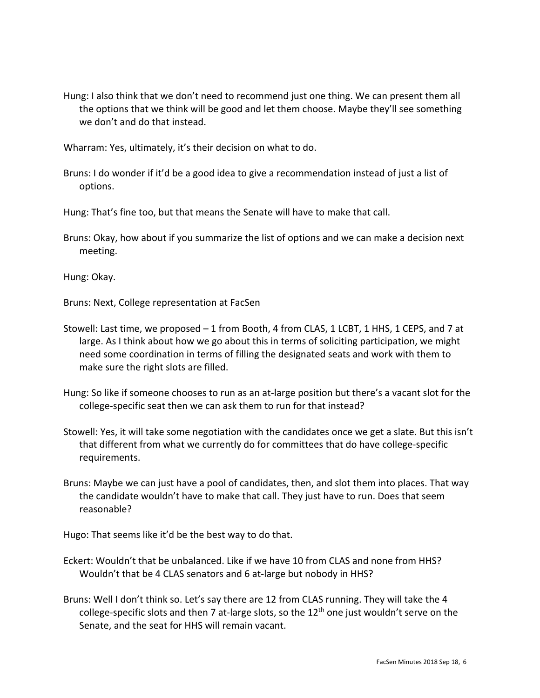Hung: I also think that we don't need to recommend just one thing. We can present them all the options that we think will be good and let them choose. Maybe they'll see something we don't and do that instead.

Wharram: Yes, ultimately, it's their decision on what to do.

Bruns: I do wonder if it'd be a good idea to give a recommendation instead of just a list of options.

Hung: That's fine too, but that means the Senate will have to make that call.

Bruns: Okay, how about if you summarize the list of options and we can make a decision next meeting.

Hung: Okay.

Bruns: Next, College representation at FacSen

- Stowell: Last time, we proposed 1 from Booth, 4 from CLAS, 1 LCBT, 1 HHS, 1 CEPS, and 7 at large. As I think about how we go about this in terms of soliciting participation, we might need some coordination in terms of filling the designated seats and work with them to make sure the right slots are filled.
- Hung: So like if someone chooses to run as an at-large position but there's a vacant slot for the college-specific seat then we can ask them to run for that instead?
- Stowell: Yes, it will take some negotiation with the candidates once we get a slate. But this isn't that different from what we currently do for committees that do have college-specific requirements.
- Bruns: Maybe we can just have a pool of candidates, then, and slot them into places. That way the candidate wouldn't have to make that call. They just have to run. Does that seem reasonable?

Hugo: That seems like it'd be the best way to do that.

- Eckert: Wouldn't that be unbalanced. Like if we have 10 from CLAS and none from HHS? Wouldn't that be 4 CLAS senators and 6 at-large but nobody in HHS?
- Bruns: Well I don't think so. Let's say there are 12 from CLAS running. They will take the 4 college-specific slots and then 7 at-large slots, so the  $12<sup>th</sup>$  one just wouldn't serve on the Senate, and the seat for HHS will remain vacant.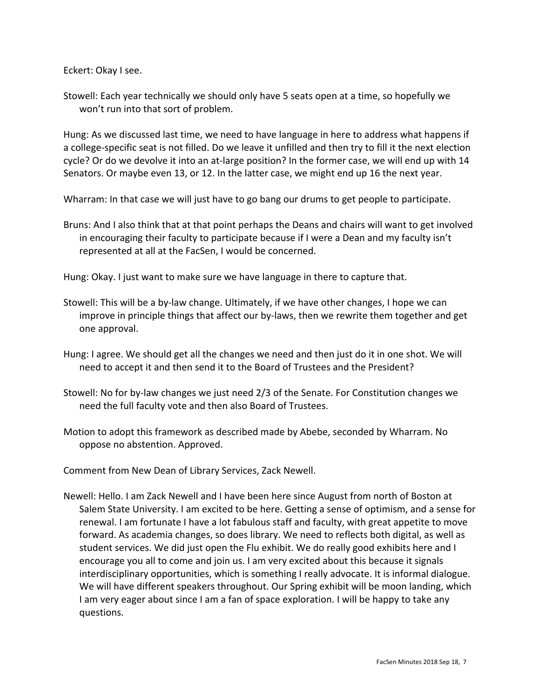Eckert: Okay I see.

Stowell: Each year technically we should only have 5 seats open at a time, so hopefully we won't run into that sort of problem.

Hung: As we discussed last time, we need to have language in here to address what happens if a college-specific seat is not filled. Do we leave it unfilled and then try to fill it the next election cycle? Or do we devolve it into an at-large position? In the former case, we will end up with 14 Senators. Or maybe even 13, or 12. In the latter case, we might end up 16 the next year.

Wharram: In that case we will just have to go bang our drums to get people to participate.

Bruns: And I also think that at that point perhaps the Deans and chairs will want to get involved in encouraging their faculty to participate because if I were a Dean and my faculty isn't represented at all at the FacSen, I would be concerned.

Hung: Okay. I just want to make sure we have language in there to capture that.

- Stowell: This will be a by-law change. Ultimately, if we have other changes, I hope we can improve in principle things that affect our by-laws, then we rewrite them together and get one approval.
- Hung: I agree. We should get all the changes we need and then just do it in one shot. We will need to accept it and then send it to the Board of Trustees and the President?
- Stowell: No for by-law changes we just need 2/3 of the Senate. For Constitution changes we need the full faculty vote and then also Board of Trustees.
- Motion to adopt this framework as described made by Abebe, seconded by Wharram. No oppose no abstention. Approved.

Comment from New Dean of Library Services, Zack Newell.

Newell: Hello. I am Zack Newell and I have been here since August from north of Boston at Salem State University. I am excited to be here. Getting a sense of optimism, and a sense for renewal. I am fortunate I have a lot fabulous staff and faculty, with great appetite to move forward. As academia changes, so does library. We need to reflects both digital, as well as student services. We did just open the Flu exhibit. We do really good exhibits here and I encourage you all to come and join us. I am very excited about this because it signals interdisciplinary opportunities, which is something I really advocate. It is informal dialogue. We will have different speakers throughout. Our Spring exhibit will be moon landing, which I am very eager about since I am a fan of space exploration. I will be happy to take any questions.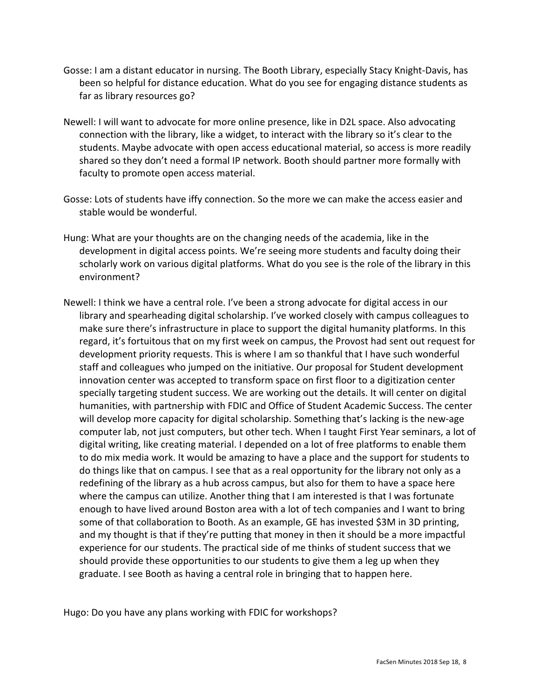- Gosse: I am a distant educator in nursing. The Booth Library, especially Stacy Knight-Davis, has been so helpful for distance education. What do you see for engaging distance students as far as library resources go?
- Newell: I will want to advocate for more online presence, like in D2L space. Also advocating connection with the library, like a widget, to interact with the library so it's clear to the students. Maybe advocate with open access educational material, so access is more readily shared so they don't need a formal IP network. Booth should partner more formally with faculty to promote open access material.
- Gosse: Lots of students have iffy connection. So the more we can make the access easier and stable would be wonderful.
- Hung: What are your thoughts are on the changing needs of the academia, like in the development in digital access points. We're seeing more students and faculty doing their scholarly work on various digital platforms. What do you see is the role of the library in this environment?
- Newell: I think we have a central role. I've been a strong advocate for digital access in our library and spearheading digital scholarship. I've worked closely with campus colleagues to make sure there's infrastructure in place to support the digital humanity platforms. In this regard, it's fortuitous that on my first week on campus, the Provost had sent out request for development priority requests. This is where I am so thankful that I have such wonderful staff and colleagues who jumped on the initiative. Our proposal for Student development innovation center was accepted to transform space on first floor to a digitization center specially targeting student success. We are working out the details. It will center on digital humanities, with partnership with FDIC and Office of Student Academic Success. The center will develop more capacity for digital scholarship. Something that's lacking is the new-age computer lab, not just computers, but other tech. When I taught First Year seminars, a lot of digital writing, like creating material. I depended on a lot of free platforms to enable them to do mix media work. It would be amazing to have a place and the support for students to do things like that on campus. I see that as a real opportunity for the library not only as a redefining of the library as a hub across campus, but also for them to have a space here where the campus can utilize. Another thing that I am interested is that I was fortunate enough to have lived around Boston area with a lot of tech companies and I want to bring some of that collaboration to Booth. As an example, GE has invested \$3M in 3D printing, and my thought is that if they're putting that money in then it should be a more impactful experience for our students. The practical side of me thinks of student success that we should provide these opportunities to our students to give them a leg up when they graduate. I see Booth as having a central role in bringing that to happen here.

Hugo: Do you have any plans working with FDIC for workshops?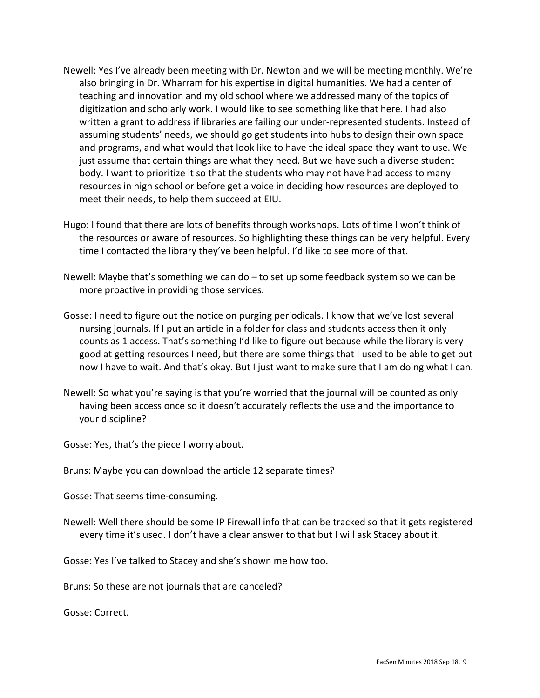- Newell: Yes I've already been meeting with Dr. Newton and we will be meeting monthly. We're also bringing in Dr. Wharram for his expertise in digital humanities. We had a center of teaching and innovation and my old school where we addressed many of the topics of digitization and scholarly work. I would like to see something like that here. I had also written a grant to address if libraries are failing our under-represented students. Instead of assuming students' needs, we should go get students into hubs to design their own space and programs, and what would that look like to have the ideal space they want to use. We just assume that certain things are what they need. But we have such a diverse student body. I want to prioritize it so that the students who may not have had access to many resources in high school or before get a voice in deciding how resources are deployed to meet their needs, to help them succeed at EIU.
- Hugo: I found that there are lots of benefits through workshops. Lots of time I won't think of the resources or aware of resources. So highlighting these things can be very helpful. Every time I contacted the library they've been helpful. I'd like to see more of that.
- Newell: Maybe that's something we can do to set up some feedback system so we can be more proactive in providing those services.
- Gosse: I need to figure out the notice on purging periodicals. I know that we've lost several nursing journals. If I put an article in a folder for class and students access then it only counts as 1 access. That's something I'd like to figure out because while the library is very good at getting resources I need, but there are some things that I used to be able to get but now I have to wait. And that's okay. But I just want to make sure that I am doing what I can.
- Newell: So what you're saying is that you're worried that the journal will be counted as only having been access once so it doesn't accurately reflects the use and the importance to your discipline?

Gosse: Yes, that's the piece I worry about.

Bruns: Maybe you can download the article 12 separate times?

Gosse: That seems time-consuming.

Newell: Well there should be some IP Firewall info that can be tracked so that it gets registered every time it's used. I don't have a clear answer to that but I will ask Stacey about it.

Gosse: Yes I've talked to Stacey and she's shown me how too.

Bruns: So these are not journals that are canceled?

Gosse: Correct.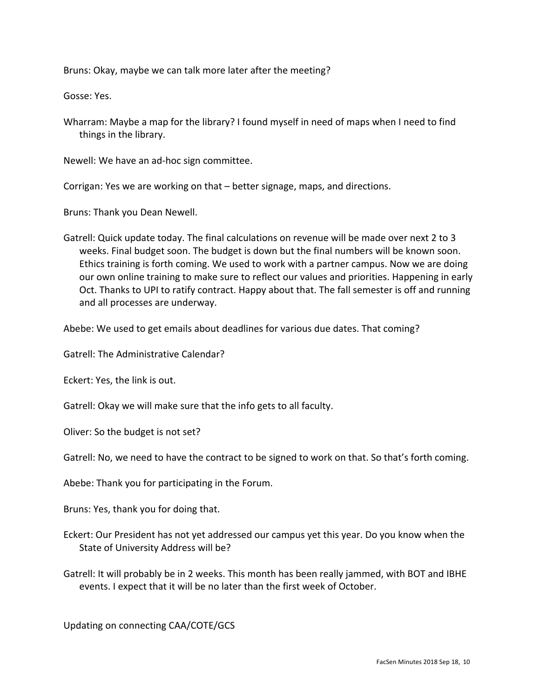Bruns: Okay, maybe we can talk more later after the meeting?

Gosse: Yes.

Wharram: Maybe a map for the library? I found myself in need of maps when I need to find things in the library.

Newell: We have an ad-hoc sign committee.

Corrigan: Yes we are working on that – better signage, maps, and directions.

Bruns: Thank you Dean Newell.

Gatrell: Quick update today. The final calculations on revenue will be made over next 2 to 3 weeks. Final budget soon. The budget is down but the final numbers will be known soon. Ethics training is forth coming. We used to work with a partner campus. Now we are doing our own online training to make sure to reflect our values and priorities. Happening in early Oct. Thanks to UPI to ratify contract. Happy about that. The fall semester is off and running and all processes are underway.

Abebe: We used to get emails about deadlines for various due dates. That coming?

Gatrell: The Administrative Calendar?

Eckert: Yes, the link is out.

Gatrell: Okay we will make sure that the info gets to all faculty.

Oliver: So the budget is not set?

Gatrell: No, we need to have the contract to be signed to work on that. So that's forth coming.

Abebe: Thank you for participating in the Forum.

Bruns: Yes, thank you for doing that.

- Eckert: Our President has not yet addressed our campus yet this year. Do you know when the State of University Address will be?
- Gatrell: It will probably be in 2 weeks. This month has been really jammed, with BOT and IBHE events. I expect that it will be no later than the first week of October.

Updating on connecting CAA/COTE/GCS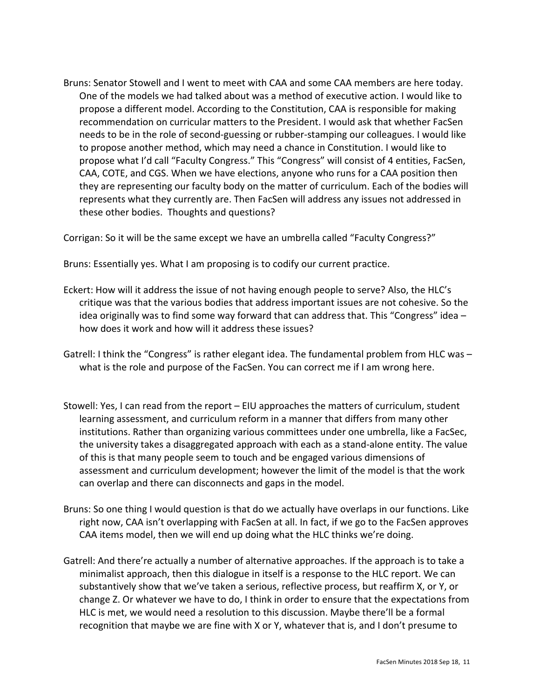Bruns: Senator Stowell and I went to meet with CAA and some CAA members are here today. One of the models we had talked about was a method of executive action. I would like to propose a different model. According to the Constitution, CAA is responsible for making recommendation on curricular matters to the President. I would ask that whether FacSen needs to be in the role of second-guessing or rubber-stamping our colleagues. I would like to propose another method, which may need a chance in Constitution. I would like to propose what I'd call "Faculty Congress." This "Congress" will consist of 4 entities, FacSen, CAA, COTE, and CGS. When we have elections, anyone who runs for a CAA position then they are representing our faculty body on the matter of curriculum. Each of the bodies will represents what they currently are. Then FacSen will address any issues not addressed in these other bodies. Thoughts and questions?

Corrigan: So it will be the same except we have an umbrella called "Faculty Congress?"

Bruns: Essentially yes. What I am proposing is to codify our current practice.

- Eckert: How will it address the issue of not having enough people to serve? Also, the HLC's critique was that the various bodies that address important issues are not cohesive. So the idea originally was to find some way forward that can address that. This "Congress" idea – how does it work and how will it address these issues?
- Gatrell: I think the "Congress" is rather elegant idea. The fundamental problem from HLC was what is the role and purpose of the FacSen. You can correct me if I am wrong here.
- Stowell: Yes, I can read from the report EIU approaches the matters of curriculum, student learning assessment, and curriculum reform in a manner that differs from many other institutions. Rather than organizing various committees under one umbrella, like a FacSec, the university takes a disaggregated approach with each as a stand-alone entity. The value of this is that many people seem to touch and be engaged various dimensions of assessment and curriculum development; however the limit of the model is that the work can overlap and there can disconnects and gaps in the model.
- Bruns: So one thing I would question is that do we actually have overlaps in our functions. Like right now, CAA isn't overlapping with FacSen at all. In fact, if we go to the FacSen approves CAA items model, then we will end up doing what the HLC thinks we're doing.
- Gatrell: And there're actually a number of alternative approaches. If the approach is to take a minimalist approach, then this dialogue in itself is a response to the HLC report. We can substantively show that we've taken a serious, reflective process, but reaffirm X, or Y, or change Z. Or whatever we have to do, I think in order to ensure that the expectations from HLC is met, we would need a resolution to this discussion. Maybe there'll be a formal recognition that maybe we are fine with X or Y, whatever that is, and I don't presume to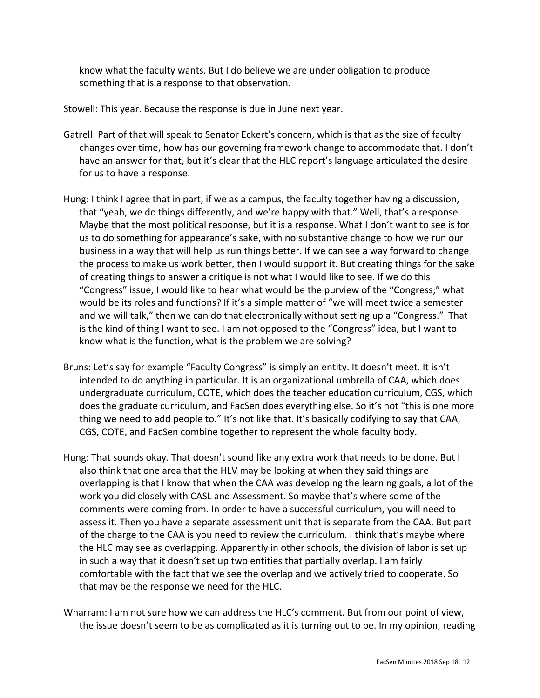know what the faculty wants. But I do believe we are under obligation to produce something that is a response to that observation.

Stowell: This year. Because the response is due in June next year.

- Gatrell: Part of that will speak to Senator Eckert's concern, which is that as the size of faculty changes over time, how has our governing framework change to accommodate that. I don't have an answer for that, but it's clear that the HLC report's language articulated the desire for us to have a response.
- Hung: I think I agree that in part, if we as a campus, the faculty together having a discussion, that "yeah, we do things differently, and we're happy with that." Well, that's a response. Maybe that the most political response, but it is a response. What I don't want to see is for us to do something for appearance's sake, with no substantive change to how we run our business in a way that will help us run things better. If we can see a way forward to change the process to make us work better, then I would support it. But creating things for the sake of creating things to answer a critique is not what I would like to see. If we do this "Congress" issue, I would like to hear what would be the purview of the "Congress;" what would be its roles and functions? If it's a simple matter of "we will meet twice a semester and we will talk," then we can do that electronically without setting up a "Congress." That is the kind of thing I want to see. I am not opposed to the "Congress" idea, but I want to know what is the function, what is the problem we are solving?
- Bruns: Let's say for example "Faculty Congress" is simply an entity. It doesn't meet. It isn't intended to do anything in particular. It is an organizational umbrella of CAA, which does undergraduate curriculum, COTE, which does the teacher education curriculum, CGS, which does the graduate curriculum, and FacSen does everything else. So it's not "this is one more thing we need to add people to." It's not like that. It's basically codifying to say that CAA, CGS, COTE, and FacSen combine together to represent the whole faculty body.
- Hung: That sounds okay. That doesn't sound like any extra work that needs to be done. But I also think that one area that the HLV may be looking at when they said things are overlapping is that I know that when the CAA was developing the learning goals, a lot of the work you did closely with CASL and Assessment. So maybe that's where some of the comments were coming from. In order to have a successful curriculum, you will need to assess it. Then you have a separate assessment unit that is separate from the CAA. But part of the charge to the CAA is you need to review the curriculum. I think that's maybe where the HLC may see as overlapping. Apparently in other schools, the division of labor is set up in such a way that it doesn't set up two entities that partially overlap. I am fairly comfortable with the fact that we see the overlap and we actively tried to cooperate. So that may be the response we need for the HLC.

Wharram: I am not sure how we can address the HLC's comment. But from our point of view, the issue doesn't seem to be as complicated as it is turning out to be. In my opinion, reading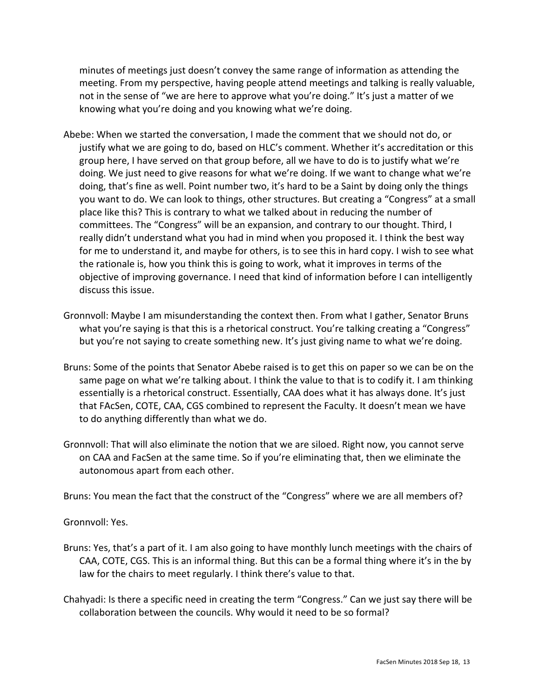minutes of meetings just doesn't convey the same range of information as attending the meeting. From my perspective, having people attend meetings and talking is really valuable, not in the sense of "we are here to approve what you're doing." It's just a matter of we knowing what you're doing and you knowing what we're doing.

- Abebe: When we started the conversation, I made the comment that we should not do, or justify what we are going to do, based on HLC's comment. Whether it's accreditation or this group here, I have served on that group before, all we have to do is to justify what we're doing. We just need to give reasons for what we're doing. If we want to change what we're doing, that's fine as well. Point number two, it's hard to be a Saint by doing only the things you want to do. We can look to things, other structures. But creating a "Congress" at a small place like this? This is contrary to what we talked about in reducing the number of committees. The "Congress" will be an expansion, and contrary to our thought. Third, I really didn't understand what you had in mind when you proposed it. I think the best way for me to understand it, and maybe for others, is to see this in hard copy. I wish to see what the rationale is, how you think this is going to work, what it improves in terms of the objective of improving governance. I need that kind of information before I can intelligently discuss this issue.
- Gronnvoll: Maybe I am misunderstanding the context then. From what I gather, Senator Bruns what you're saying is that this is a rhetorical construct. You're talking creating a "Congress" but you're not saying to create something new. It's just giving name to what we're doing.
- Bruns: Some of the points that Senator Abebe raised is to get this on paper so we can be on the same page on what we're talking about. I think the value to that is to codify it. I am thinking essentially is a rhetorical construct. Essentially, CAA does what it has always done. It's just that FAcSen, COTE, CAA, CGS combined to represent the Faculty. It doesn't mean we have to do anything differently than what we do.
- Gronnvoll: That will also eliminate the notion that we are siloed. Right now, you cannot serve on CAA and FacSen at the same time. So if you're eliminating that, then we eliminate the autonomous apart from each other.

Bruns: You mean the fact that the construct of the "Congress" where we are all members of?

Gronnvoll: Yes.

- Bruns: Yes, that's a part of it. I am also going to have monthly lunch meetings with the chairs of CAA, COTE, CGS. This is an informal thing. But this can be a formal thing where it's in the by law for the chairs to meet regularly. I think there's value to that.
- Chahyadi: Is there a specific need in creating the term "Congress." Can we just say there will be collaboration between the councils. Why would it need to be so formal?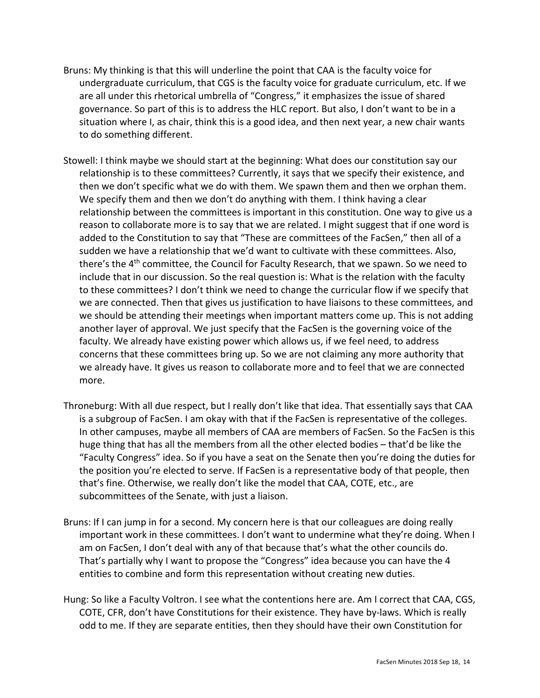- Bruns: My thinking is that this will underline the point that CAA is the faculty voice for undergraduate curriculum, that CGS is the faculty voice for graduate curriculum, etc. If we are all under this rhetorical umbrella of "Congress," it emphasizes the issue of shared governance. So part of this is to address the HLC report. But also, I don't want to be in a situation where I, as chair, think this is a good idea, and then next year, a new chair wants to do something different.
- Stowell: I think maybe we should start at the beginning: What does our constitution say our relationship is to these committees? Currently, it says that we specify their existence, and then we don't specific what we do with them. We spawn them and then we orphan them. We specify them and then we don't do anything with them. I think having a clear relationship between the committees is important in this constitution. One way to give us a reason to collaborate more is to say that we are related. I might suggest that if one word is added to the Constitution to say that "These are committees of the FacSen," then all of a sudden we have a relationship that we'd want to cultivate with these committees. Also, there's the 4<sup>th</sup> committee, the Council for Faculty Research, that we spawn. So we need to include that in our discussion. So the real question is: What is the relation with the faculty to these committees? I don't think we need to change the curricular flow if we specify that we are connected. Then that gives us justification to have liaisons to these committees, and we should be attending their meetings when important matters come up. This is not adding another layer of approval. We just specify that the FacSen is the governing voice of the faculty. We already have existing power which allows us, if we feel need, to address concerns that these committees bring up. So we are not claiming any more authority that we already have. It gives us reason to collaborate more and to feel that we are connected more.
- Throneburg: With all due respect, but I really don't like that idea. That essentially says that CAA is a subgroup of FacSen. I am okay with that if the FacSen is representative of the colleges. In other campuses, maybe all members of CAA are members of FacSen. So the FacSen is this huge thing that has all the members from all the other elected bodies – that'd be like the "Faculty Congress" idea. So if you have a seat on the Senate then you're doing the duties for the position you're elected to serve. If FacSen is a representative body of that people, then that's fine. Otherwise, we really don't like the model that CAA, COTE, etc., are subcommittees of the Senate, with just a liaison.
- Bruns: If I can jump in for a second. My concern here is that our colleagues are doing really important work in these committees. I don't want to undermine what they're doing. When I am on FacSen, I don't deal with any of that because that's what the other councils do. That's partially why I want to propose the "Congress" idea because you can have the 4 entities to combine and form this representation without creating new duties.
- Hung: So like a Faculty Voltron. I see what the contentions here are. Am I correct that CAA, CGS, COTE, CFR, don't have Constitutions for their existence. They have by-laws. Which is really odd to me. If they are separate entities, then they should have their own Constitution for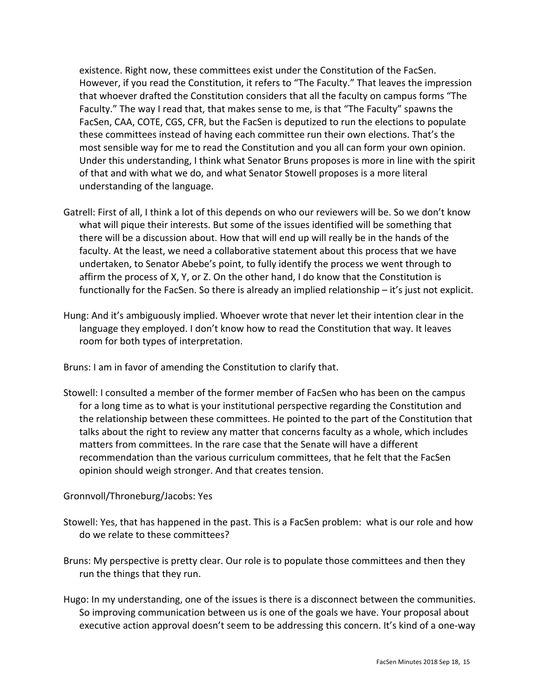existence. Right now, these committees exist under the Constitution of the FacSen. However, if you read the Constitution, it refers to "The Faculty." That leaves the impression that whoever drafted the Constitution considers that all the faculty on campus forms "The Faculty." The way I read that, that makes sense to me, is that "The Faculty" spawns the FacSen, CAA, COTE, CGS, CFR, but the FacSen is deputized to run the elections to populate these committees instead of having each committee run their own elections. That's the most sensible way for me to read the Constitution and you all can form your own opinion. Under this understanding, I think what Senator Bruns proposes is more in line with the spirit of that and with what we do, and what Senator Stowell proposes is a more literal understanding of the language.

- Gatrell: First of all, I think a lot of this depends on who our reviewers will be. So we don't know what will pique their interests. But some of the issues identified will be something that there will be a discussion about. How that will end up will really be in the hands of the faculty. At the least, we need a collaborative statement about this process that we have undertaken, to Senator Abebe's point, to fully identify the process we went through to affirm the process of X, Y, or Z. On the other hand, I do know that the Constitution is functionally for the FacSen. So there is already an implied relationship – it's just not explicit.
- Hung: And it's ambiguously implied. Whoever wrote that never let their intention clear in the language they employed. I don't know how to read the Constitution that way. It leaves room for both types of interpretation.

Bruns: I am in favor of amending the Constitution to clarify that.

Stowell: I consulted a member of the former member of FacSen who has been on the campus for a long time as to what is your institutional perspective regarding the Constitution and the relationship between these committees. He pointed to the part of the Constitution that talks about the right to review any matter that concerns faculty as a whole, which includes matters from committees. In the rare case that the Senate will have a different recommendation than the various curriculum committees, that he felt that the FacSen opinion should weigh stronger. And that creates tension.

# Gronnvoll/Throneburg/Jacobs: Yes

- Stowell: Yes, that has happened in the past. This is a FacSen problem: what is our role and how do we relate to these committees?
- Bruns: My perspective is pretty clear. Our role is to populate those committees and then they run the things that they run.
- Hugo: In my understanding, one of the issues is there is a disconnect between the communities. So improving communication between us is one of the goals we have. Your proposal about executive action approval doesn't seem to be addressing this concern. It's kind of a one-way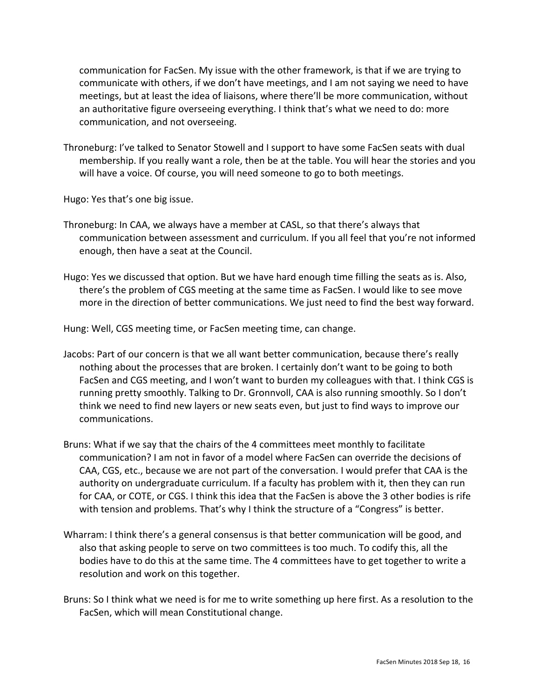communication for FacSen. My issue with the other framework, is that if we are trying to communicate with others, if we don't have meetings, and I am not saying we need to have meetings, but at least the idea of liaisons, where there'll be more communication, without an authoritative figure overseeing everything. I think that's what we need to do: more communication, and not overseeing.

Throneburg: I've talked to Senator Stowell and I support to have some FacSen seats with dual membership. If you really want a role, then be at the table. You will hear the stories and you will have a voice. Of course, you will need someone to go to both meetings.

Hugo: Yes that's one big issue.

- Throneburg: In CAA, we always have a member at CASL, so that there's always that communication between assessment and curriculum. If you all feel that you're not informed enough, then have a seat at the Council.
- Hugo: Yes we discussed that option. But we have hard enough time filling the seats as is. Also, there's the problem of CGS meeting at the same time as FacSen. I would like to see move more in the direction of better communications. We just need to find the best way forward.

Hung: Well, CGS meeting time, or FacSen meeting time, can change.

- Jacobs: Part of our concern is that we all want better communication, because there's really nothing about the processes that are broken. I certainly don't want to be going to both FacSen and CGS meeting, and I won't want to burden my colleagues with that. I think CGS is running pretty smoothly. Talking to Dr. Gronnvoll, CAA is also running smoothly. So I don't think we need to find new layers or new seats even, but just to find ways to improve our communications.
- Bruns: What if we say that the chairs of the 4 committees meet monthly to facilitate communication? I am not in favor of a model where FacSen can override the decisions of CAA, CGS, etc., because we are not part of the conversation. I would prefer that CAA is the authority on undergraduate curriculum. If a faculty has problem with it, then they can run for CAA, or COTE, or CGS. I think this idea that the FacSen is above the 3 other bodies is rife with tension and problems. That's why I think the structure of a "Congress" is better.
- Wharram: I think there's a general consensus is that better communication will be good, and also that asking people to serve on two committees is too much. To codify this, all the bodies have to do this at the same time. The 4 committees have to get together to write a resolution and work on this together.
- Bruns: So I think what we need is for me to write something up here first. As a resolution to the FacSen, which will mean Constitutional change.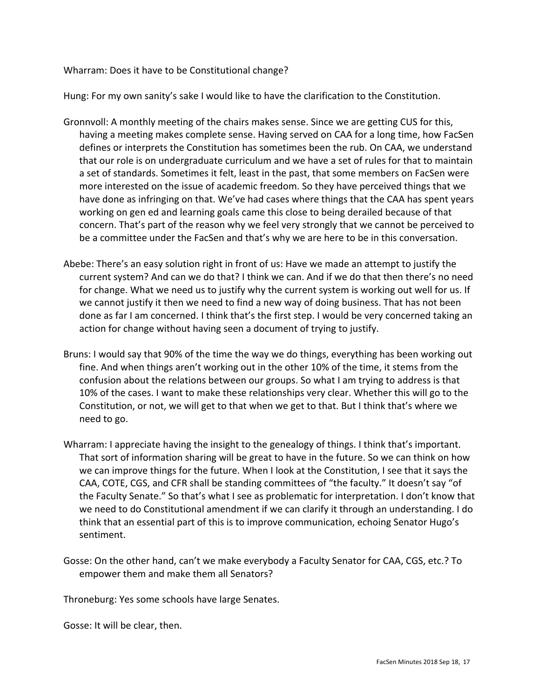Wharram: Does it have to be Constitutional change?

Hung: For my own sanity's sake I would like to have the clarification to the Constitution.

- Gronnvoll: A monthly meeting of the chairs makes sense. Since we are getting CUS for this, having a meeting makes complete sense. Having served on CAA for a long time, how FacSen defines or interprets the Constitution has sometimes been the rub. On CAA, we understand that our role is on undergraduate curriculum and we have a set of rules for that to maintain a set of standards. Sometimes it felt, least in the past, that some members on FacSen were more interested on the issue of academic freedom. So they have perceived things that we have done as infringing on that. We've had cases where things that the CAA has spent years working on gen ed and learning goals came this close to being derailed because of that concern. That's part of the reason why we feel very strongly that we cannot be perceived to be a committee under the FacSen and that's why we are here to be in this conversation.
- Abebe: There's an easy solution right in front of us: Have we made an attempt to justify the current system? And can we do that? I think we can. And if we do that then there's no need for change. What we need us to justify why the current system is working out well for us. If we cannot justify it then we need to find a new way of doing business. That has not been done as far I am concerned. I think that's the first step. I would be very concerned taking an action for change without having seen a document of trying to justify.
- Bruns: I would say that 90% of the time the way we do things, everything has been working out fine. And when things aren't working out in the other 10% of the time, it stems from the confusion about the relations between our groups. So what I am trying to address is that 10% of the cases. I want to make these relationships very clear. Whether this will go to the Constitution, or not, we will get to that when we get to that. But I think that's where we need to go.
- Wharram: I appreciate having the insight to the genealogy of things. I think that's important. That sort of information sharing will be great to have in the future. So we can think on how we can improve things for the future. When I look at the Constitution, I see that it says the CAA, COTE, CGS, and CFR shall be standing committees of "the faculty." It doesn't say "of the Faculty Senate." So that's what I see as problematic for interpretation. I don't know that we need to do Constitutional amendment if we can clarify it through an understanding. I do think that an essential part of this is to improve communication, echoing Senator Hugo's sentiment.
- Gosse: On the other hand, can't we make everybody a Faculty Senator for CAA, CGS, etc.? To empower them and make them all Senators?

Throneburg: Yes some schools have large Senates.

Gosse: It will be clear, then.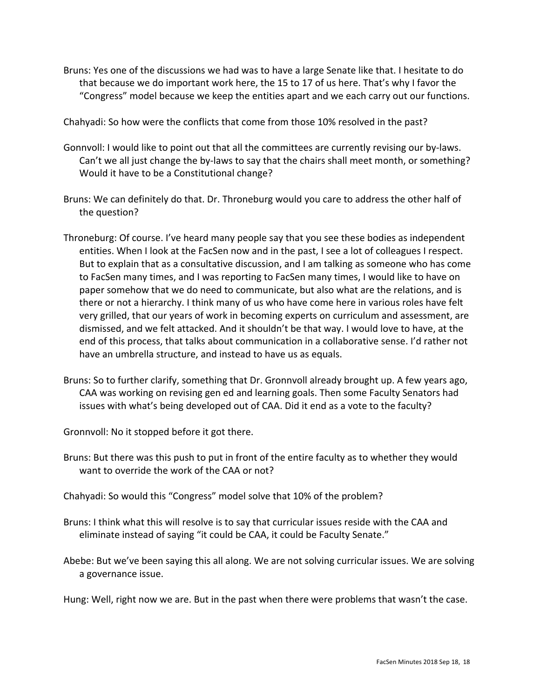Bruns: Yes one of the discussions we had was to have a large Senate like that. I hesitate to do that because we do important work here, the 15 to 17 of us here. That's why I favor the "Congress" model because we keep the entities apart and we each carry out our functions.

Chahyadi: So how were the conflicts that come from those 10% resolved in the past?

- Gonnvoll: I would like to point out that all the committees are currently revising our by-laws. Can't we all just change the by-laws to say that the chairs shall meet month, or something? Would it have to be a Constitutional change?
- Bruns: We can definitely do that. Dr. Throneburg would you care to address the other half of the question?
- Throneburg: Of course. I've heard many people say that you see these bodies as independent entities. When I look at the FacSen now and in the past, I see a lot of colleagues I respect. But to explain that as a consultative discussion, and I am talking as someone who has come to FacSen many times, and I was reporting to FacSen many times, I would like to have on paper somehow that we do need to communicate, but also what are the relations, and is there or not a hierarchy. I think many of us who have come here in various roles have felt very grilled, that our years of work in becoming experts on curriculum and assessment, are dismissed, and we felt attacked. And it shouldn't be that way. I would love to have, at the end of this process, that talks about communication in a collaborative sense. I'd rather not have an umbrella structure, and instead to have us as equals.
- Bruns: So to further clarify, something that Dr. Gronnvoll already brought up. A few years ago, CAA was working on revising gen ed and learning goals. Then some Faculty Senators had issues with what's being developed out of CAA. Did it end as a vote to the faculty?

Gronnvoll: No it stopped before it got there.

- Bruns: But there was this push to put in front of the entire faculty as to whether they would want to override the work of the CAA or not?
- Chahyadi: So would this "Congress" model solve that 10% of the problem?
- Bruns: I think what this will resolve is to say that curricular issues reside with the CAA and eliminate instead of saying "it could be CAA, it could be Faculty Senate."
- Abebe: But we've been saying this all along. We are not solving curricular issues. We are solving a governance issue.

Hung: Well, right now we are. But in the past when there were problems that wasn't the case.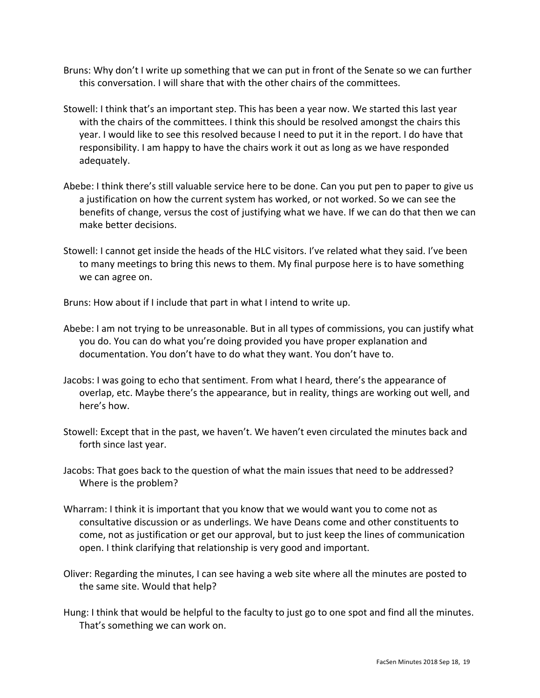- Bruns: Why don't I write up something that we can put in front of the Senate so we can further this conversation. I will share that with the other chairs of the committees.
- Stowell: I think that's an important step. This has been a year now. We started this last year with the chairs of the committees. I think this should be resolved amongst the chairs this year. I would like to see this resolved because I need to put it in the report. I do have that responsibility. I am happy to have the chairs work it out as long as we have responded adequately.
- Abebe: I think there's still valuable service here to be done. Can you put pen to paper to give us a justification on how the current system has worked, or not worked. So we can see the benefits of change, versus the cost of justifying what we have. If we can do that then we can make better decisions.
- Stowell: I cannot get inside the heads of the HLC visitors. I've related what they said. I've been to many meetings to bring this news to them. My final purpose here is to have something we can agree on.

Bruns: How about if I include that part in what I intend to write up.

- Abebe: I am not trying to be unreasonable. But in all types of commissions, you can justify what you do. You can do what you're doing provided you have proper explanation and documentation. You don't have to do what they want. You don't have to.
- Jacobs: I was going to echo that sentiment. From what I heard, there's the appearance of overlap, etc. Maybe there's the appearance, but in reality, things are working out well, and here's how.
- Stowell: Except that in the past, we haven't. We haven't even circulated the minutes back and forth since last year.
- Jacobs: That goes back to the question of what the main issues that need to be addressed? Where is the problem?
- Wharram: I think it is important that you know that we would want you to come not as consultative discussion or as underlings. We have Deans come and other constituents to come, not as justification or get our approval, but to just keep the lines of communication open. I think clarifying that relationship is very good and important.
- Oliver: Regarding the minutes, I can see having a web site where all the minutes are posted to the same site. Would that help?
- Hung: I think that would be helpful to the faculty to just go to one spot and find all the minutes. That's something we can work on.